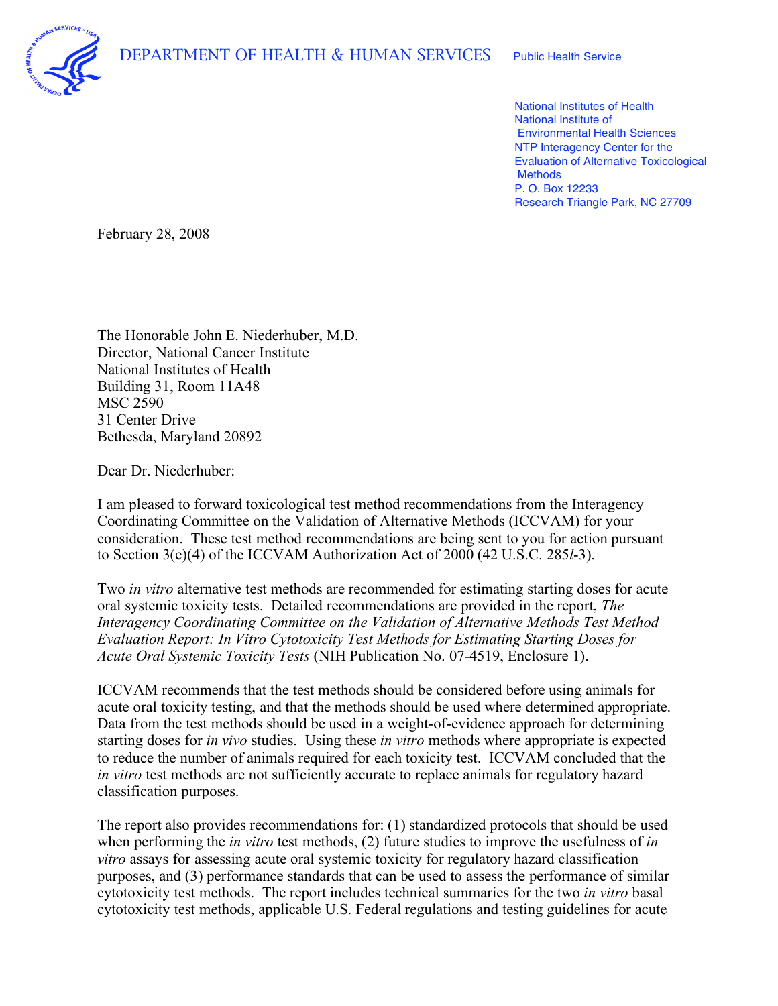

 National Institutes of Health National Institute of Environmental Health Sciences NTP Interagency Center for the Evaluation of Alternative Toxicological P. O. Box 12233 Research Triangle Park, NC 27709 **Methods** 

February 28, 2008

 The Honorable John E. Niederhuber, M.D. Director, National Cancer Institute National Institutes of Health Building 31, Room 11A48 MSC 2590 31 Center Drive Bethesda, Maryland 20892

Dear Dr. Niederhuber:

 I am pleased to forward toxicological test method recommendations from the Interagency Coordinating Committee on the Validation of Alternative Methods (ICCVAM) for your consideration. These test method recommendations are being sent to you for action pursuant to Section 3(e)(4) of the ICCVAM Authorization Act of 2000 (42 U.S.C. 285*l*-3).

 Two *in vitro* alternative test methods are recommended for estimating starting doses for acute oral systemic toxicity tests. Detailed recommendations are provided in the report, *The Interagency Coordinating Committee on the Validation of Alternative Methods Test Method Evaluation Report: In Vitro Cytotoxicity Test Methods for Estimating Starting Doses for Acute Oral Systemic Toxicity Tests* (NIH Publication No. 07-4519, Enclosure 1).

 ICCVAM recommends that the test methods should be considered before using animals for acute oral toxicity testing, and that the methods should be used where determined appropriate. Data from the test methods should be used in a weight-of-evidence approach for determining starting doses for *in vivo* studies. Using these *in vitro* methods where appropriate is expected to reduce the number of animals required for each toxicity test. ICCVAM concluded that the *in vitro* test methods are not sufficiently accurate to replace animals for regulatory hazard classification purposes.

 The report also provides recommendations for: (1) standardized protocols that should be used when performing the *in vitro* test methods, (2) future studies to improve the usefulness of *in vitro* assays for assessing acute oral systemic toxicity for regulatory hazard classification purposes, and (3) performance standards that can be used to assess the performance of similar cytotoxicity test methods. The report includes technical summaries for the two *in vitro* basal cytotoxicity test methods, applicable U.S. Federal regulations and testing guidelines for acute